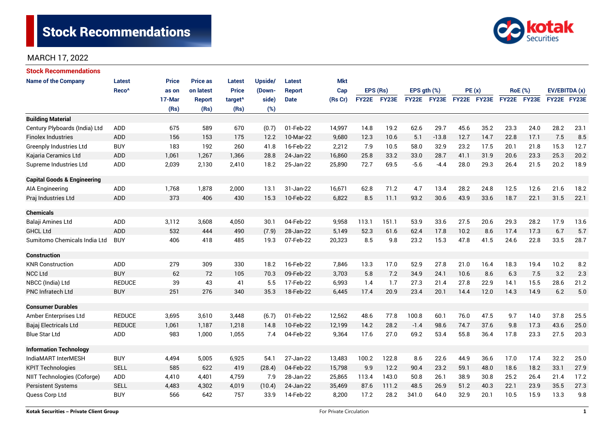

## MARCH 17, 2022

| <b>Stock Recommendations</b>           |                   |              |                 |                     |         |               |            |              |          |                  |             |             |      |             |                |               |      |
|----------------------------------------|-------------------|--------------|-----------------|---------------------|---------|---------------|------------|--------------|----------|------------------|-------------|-------------|------|-------------|----------------|---------------|------|
| <b>Name of the Company</b>             | Latest            | <b>Price</b> | <b>Price as</b> | Latest              | Upside/ | <b>Latest</b> | <b>Mkt</b> |              |          |                  |             |             |      |             |                |               |      |
|                                        | Reco <sup>^</sup> | as on        | on latest       | <b>Price</b>        | (Down-  | <b>Report</b> | Cap        |              | EPS (Rs) | EPS $qth$ $(\%)$ |             | PE(x)       |      |             | <b>RoE</b> (%) | EV/EBITDA (x) |      |
|                                        |                   | 17-Mar       | <b>Report</b>   | target <sup>^</sup> | side)   | <b>Date</b>   | (Rs Cr)    | <b>FY22E</b> | FY23E    |                  | FY22E FY23E | FY22E FY23E |      | FY22E FY23E |                | FY22E FY23E   |      |
|                                        |                   | (Rs)         | (Rs)            | (Rs)                | (%)     |               |            |              |          |                  |             |             |      |             |                |               |      |
| <b>Building Material</b>               |                   |              |                 |                     |         |               |            |              |          |                  |             |             |      |             |                |               |      |
| Century Plyboards (India) Ltd          | <b>ADD</b>        | 675          | 589             | 670                 | (0.7)   | 01-Feb-22     | 14,997     | 14.8         | 19.2     | 62.6             | 29.7        | 45.6        | 35.2 | 23.3        | 24.0           | 28.2          | 23.1 |
| <b>Finolex Industries</b>              | <b>ADD</b>        | 156          | 153             | 175                 | 12.2    | 10-Mar-22     | 9,680      | 12.3         | 10.6     | 5.1              | $-13.8$     | 12.7        | 14.7 | 22.8        | 17.1           | 7.5           | 8.5  |
| <b>Greenply Industries Ltd</b>         | <b>BUY</b>        | 183          | 192             | 260                 | 41.8    | 16-Feb-22     | 2,212      | 7.9          | 10.5     | 58.0             | 32.9        | 23.2        | 17.5 | 20.1        | 21.8           | 15.3          | 12.7 |
| Kajaria Ceramics Ltd                   | <b>ADD</b>        | 1,061        | 1,267           | 1,366               | 28.8    | 24-Jan-22     | 16,860     | 25.8         | 33.2     | 33.0             | 28.7        | 41.1        | 31.9 | 20.6        | 23.3           | 25.3          | 20.2 |
| Supreme Industries Ltd                 | <b>ADD</b>        | 2,039        | 2,130           | 2,410               | 18.2    | 25-Jan-22     | 25,890     | 72.7         | 69.5     | $-5.6$           | $-4.4$      | 28.0        | 29.3 | 26.4        | 21.5           | 20.2          | 18.9 |
| <b>Capital Goods &amp; Engineering</b> |                   |              |                 |                     |         |               |            |              |          |                  |             |             |      |             |                |               |      |
| AIA Engineering                        | ADD               | 1,768        | 1,878           | 2,000               | 13.1    | 31-Jan-22     | 16,671     | 62.8         | 71.2     | 4.7              | 13.4        | 28.2        | 24.8 | 12.5        | 12.6           | 21.6          | 18.2 |
| Praj Industries Ltd                    | <b>ADD</b>        | 373          | 406             | 430                 | 15.3    | 10-Feb-22     | 6,822      | 8.5          | 11.1     | 93.2             | 30.6        | 43.9        | 33.6 | 18.7        | 22.1           | 31.5          | 22.1 |
| <b>Chemicals</b>                       |                   |              |                 |                     |         |               |            |              |          |                  |             |             |      |             |                |               |      |
| Balaji Amines Ltd                      | <b>ADD</b>        | 3,112        | 3,608           | 4,050               | 30.1    | 04-Feb-22     | 9,958      | 113.1        | 151.1    | 53.9             | 33.6        | 27.5        | 20.6 | 29.3        | 28.2           | 17.9          | 13.6 |
| <b>GHCL Ltd</b>                        | <b>ADD</b>        | 532          | 444             | 490                 | (7.9)   | 28-Jan-22     | 5,149      | 52.3         | 61.6     | 62.4             | 17.8        | 10.2        | 8.6  | 17.4        | 17.3           | 6.7           | 5.7  |
| Sumitomo Chemicals India Ltd           | <b>BUY</b>        | 406          | 418             | 485                 | 19.3    | 07-Feb-22     | 20,323     | 8.5          | 9.8      | 23.2             | 15.3        | 47.8        | 41.5 | 24.6        | 22.8           | 33.5          | 28.7 |
| <b>Construction</b>                    |                   |              |                 |                     |         |               |            |              |          |                  |             |             |      |             |                |               |      |
| <b>KNR Construction</b>                | ADD               | 279          | 309             | 330                 | 18.2    | 16-Feb-22     | 7,846      | 13.3         | 17.0     | 52.9             | 27.8        | 21.0        | 16.4 | 18.3        | 19.4           | 10.2          | 8.2  |
| <b>NCC Ltd</b>                         | <b>BUY</b>        | 62           | 72              | 105                 | 70.3    | 09-Feb-22     | 3,703      | 5.8          | 7.2      | 34.9             | 24.1        | 10.6        | 8.6  | 6.3         | 7.5            | 3.2           | 2.3  |
| NBCC (India) Ltd                       | <b>REDUCE</b>     | 39           | 43              | 41                  | 5.5     | 17-Feb-22     | 6,993      | 1.4          | 1.7      | 27.3             | 21.4        | 27.8        | 22.9 | 14.1        | 15.5           | 28.6          | 21.2 |
| <b>PNC Infratech Ltd</b>               | <b>BUY</b>        | 251          | 276             | 340                 | 35.3    | 18-Feb-22     | 6,445      | 17.4         | 20.9     | 23.4             | 20.1        | 14.4        | 12.0 | 14.3        | 14.9           | 6.2           | 5.0  |
| <b>Consumer Durables</b>               |                   |              |                 |                     |         |               |            |              |          |                  |             |             |      |             |                |               |      |
| Amber Enterprises Ltd                  | <b>REDUCE</b>     | 3,695        | 3,610           | 3,448               | (6.7)   | 01-Feb-22     | 12,562     | 48.6         | 77.8     | 100.8            | 60.1        | 76.0        | 47.5 | 9.7         | 14.0           | 37.8          | 25.5 |
| Bajaj Electricals Ltd                  | <b>REDUCE</b>     | 1,061        | 1,187           | 1,218               | 14.8    | 10-Feb-22     | 12,199     | 14.2         | 28.2     | $-1.4$           | 98.6        | 74.7        | 37.6 | 9.8         | 17.3           | 43.6          | 25.0 |
| <b>Blue Star Ltd</b>                   | ADD               | 983          | 1,000           | 1,055               | 7.4     | 04-Feb-22     | 9,364      | 17.6         | 27.0     | 69.2             | 53.4        | 55.8        | 36.4 | 17.8        | 23.3           | 27.5          | 20.3 |
| <b>Information Technology</b>          |                   |              |                 |                     |         |               |            |              |          |                  |             |             |      |             |                |               |      |
| IndiaMART InterMESH                    | <b>BUY</b>        | 4,494        | 5,005           | 6,925               | 54.1    | 27-Jan-22     | 13,483     | 100.2        | 122.8    | 8.6              | 22.6        | 44.9        | 36.6 | 17.0        | 17.4           | 32.2          | 25.0 |
| <b>KPIT Technologies</b>               | <b>SELL</b>       | 585          | 622             | 419                 | (28.4)  | 04-Feb-22     | 15,798     | 9.9          | 12.2     | 90.4             | 23.2        | 59.1        | 48.0 | 18.6        | 18.2           | 33.1          | 27.9 |
| NIIT Technologies (Coforge)            | ADD               | 4,410        | 4,401           | 4,759               | 7.9     | 28-Jan-22     | 25,865     | 113.4        | 143.0    | 50.8             | 26.1        | 38.9        | 30.8 | 25.2        | 26.4           | 21.4          | 17.2 |
| <b>Persistent Systems</b>              | <b>SELL</b>       | 4,483        | 4,302           | 4,019               | (10.4)  | 24-Jan-22     | 35,469     | 87.6         | 111.2    | 48.5             | 26.9        | 51.2        | 40.3 | 22.1        | 23.9           | 35.5          | 27.3 |
| Quess Corp Ltd                         | <b>BUY</b>        | 566          | 642             | 757                 | 33.9    | 14-Feb-22     | 8,200      | 17.2         | 28.2     | 341.0            | 64.0        | 32.9        | 20.1 | 10.5        | 15.9           | 13.3          | 9.8  |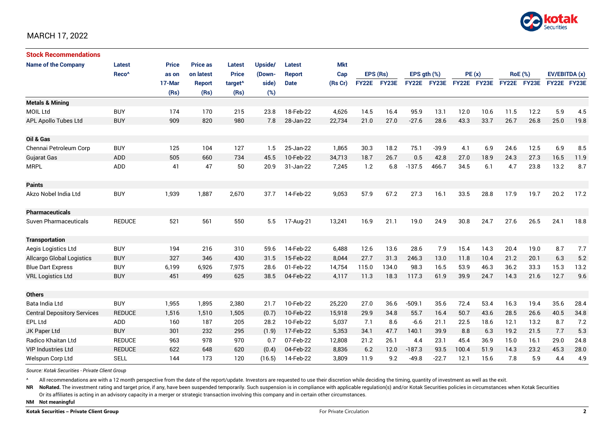

## MARCH 17, 2022

| <b>Stock Recommendations</b>       |                   |              |                 |                     |         |               |            |              |       |                  |              |             |      |      |                |               |      |
|------------------------------------|-------------------|--------------|-----------------|---------------------|---------|---------------|------------|--------------|-------|------------------|--------------|-------------|------|------|----------------|---------------|------|
| <b>Name of the Company</b>         | <b>Latest</b>     | <b>Price</b> | <b>Price as</b> | Latest              | Upside/ | <b>Latest</b> | <b>Mkt</b> |              |       |                  |              |             |      |      |                |               |      |
|                                    | Reco <sup>^</sup> | as on        | on latest       | <b>Price</b>        | (Down-  | <b>Report</b> | Cap        | EPS (Rs)     |       | EPS $qth$ $(\%)$ |              | PE(x)       |      |      | <b>RoE</b> (%) | EV/EBITDA (x) |      |
|                                    |                   | 17-Mar       | <b>Report</b>   | target <sup>^</sup> | side)   | <b>Date</b>   | (Rs Cr)    | <b>FY22E</b> | FY23E | <b>FY22E</b>     | <b>FY23E</b> | FY22E FY23E |      |      | FY22E FY23E    | FY22E FY23E   |      |
|                                    |                   | (Rs)         | (Rs)            | (Rs)                | (%)     |               |            |              |       |                  |              |             |      |      |                |               |      |
| <b>Metals &amp; Mining</b>         |                   |              |                 |                     |         |               |            |              |       |                  |              |             |      |      |                |               |      |
| <b>MOIL Ltd</b>                    | <b>BUY</b>        | 174          | 170             | 215                 | 23.8    | 18-Feb-22     | 4,626      | 14.5         | 16.4  | 95.9             | 13.1         | 12.0        | 10.6 | 11.5 | 12.2           | 5.9           | 4.5  |
| APL Apollo Tubes Ltd               | <b>BUY</b>        | 909          | 820             | 980                 | 7.8     | 28-Jan-22     | 22,734     | 21.0         | 27.0  | $-27.6$          | 28.6         | 43.3        | 33.7 | 26.7 | 26.8           | 25.0          | 19.8 |
|                                    |                   |              |                 |                     |         |               |            |              |       |                  |              |             |      |      |                |               |      |
| Oil & Gas                          |                   |              |                 |                     |         |               |            |              |       |                  |              |             |      |      |                |               |      |
| Chennai Petroleum Corp             | <b>BUY</b>        | 125          | 104             | 127                 | 1.5     | 25-Jan-22     | 1,865      | 30.3         | 18.2  | 75.1             | $-39.9$      | 4.1         | 6.9  | 24.6 | 12.5           | 6.9           | 8.5  |
| <b>Gujarat Gas</b>                 | <b>ADD</b>        | 505          | 660             | 734                 | 45.5    | 10-Feb-22     | 34,713     | 18.7         | 26.7  | 0.5              | 42.8         | 27.0        | 18.9 | 24.3 | 27.3           | 16.5          | 11.9 |
| <b>MRPL</b>                        | ADD               | 41           | 47              | 50                  | 20.9    | 31-Jan-22     | 7,245      | 1.2          | 6.8   | $-137.5$         | 466.7        | 34.5        | 6.1  | 4.7  | 23.8           | 13.2          | 8.7  |
|                                    |                   |              |                 |                     |         |               |            |              |       |                  |              |             |      |      |                |               |      |
| <b>Paints</b>                      |                   |              |                 |                     |         |               |            |              |       |                  |              |             |      |      |                |               |      |
| Akzo Nobel India Ltd               | <b>BUY</b>        | 1,939        | 1,887           | 2,670               | 37.7    | 14-Feb-22     | 9,053      | 57.9         | 67.2  | 27.3             | 16.1         | 33.5        | 28.8 | 17.9 | 19.7           | 20.2          | 17.2 |
|                                    |                   |              |                 |                     |         |               |            |              |       |                  |              |             |      |      |                |               |      |
| <b>Pharmaceuticals</b>             |                   |              |                 |                     |         |               |            |              |       |                  |              |             |      |      |                |               |      |
| Suven Pharmaceuticals              | <b>REDUCE</b>     | 521          | 561             | 550                 | 5.5     | 17-Aug-21     | 13,241     | 16.9         | 21.1  | 19.0             | 24.9         | 30.8        | 24.7 | 27.6 | 26.5           | 24.1          | 18.8 |
|                                    |                   |              |                 |                     |         |               |            |              |       |                  |              |             |      |      |                |               |      |
| <b>Transportation</b>              |                   |              |                 |                     |         |               |            |              |       |                  |              |             |      |      |                |               |      |
| Aegis Logistics Ltd                | <b>BUY</b>        | 194          | 216             | 310                 | 59.6    | 14-Feb-22     | 6,488      | 12.6         | 13.6  | 28.6             | 7.9          | 15.4        | 14.3 | 20.4 | 19.0           | 8.7           | 7.7  |
| <b>Allcargo Global Logistics</b>   | <b>BUY</b>        | 327          | 346             | 430                 | 31.5    | 15-Feb-22     | 8.044      | 27.7         | 31.3  | 246.3            | 13.0         | 11.8        | 10.4 | 21.2 | 20.1           | 6.3           | 5.2  |
| <b>Blue Dart Express</b>           | <b>BUY</b>        | 6,199        | 6,926           | 7,975               | 28.6    | 01-Feb-22     | 14,754     | 115.0        | 134.0 | 98.3             | 16.5         | 53.9        | 46.3 | 36.2 | 33.3           | 15.3          | 13.2 |
| <b>VRL Logistics Ltd</b>           | <b>BUY</b>        | 451          | 499             | 625                 | 38.5    | 04-Feb-22     | 4,117      | 11.3         | 18.3  | 117.3            | 61.9         | 39.9        | 24.7 | 14.3 | 21.6           | 12.7          | 9.6  |
|                                    |                   |              |                 |                     |         |               |            |              |       |                  |              |             |      |      |                |               |      |
| <b>Others</b>                      |                   |              |                 |                     |         |               |            |              |       |                  |              |             |      |      |                |               |      |
| Bata India Ltd                     | <b>BUY</b>        | 1,955        | 1,895           | 2,380               | 21.7    | 10-Feb-22     | 25,220     | 27.0         | 36.6  | $-509.1$         | 35.6         | 72.4        | 53.4 | 16.3 | 19.4           | 35.6          | 28.4 |
| <b>Central Depository Services</b> | <b>REDUCE</b>     | 1,516        | 1,510           | 1,505               | (0.7)   | 10-Feb-22     | 15,918     | 29.9         | 34.8  | 55.7             | 16.4         | 50.7        | 43.6 | 28.5 | 26.6           | 40.5          | 34.8 |
| <b>EPL Ltd</b>                     | ADD               | 160          | 187             | 205                 | 28.2    | 10-Feb-22     | 5,037      | 7.1          | 8.6   | $-6.6$           | 21.1         | 22.5        | 18.6 | 12.1 | 13.2           | 8.7           | 7.2  |
| JK Paper Ltd                       | <b>BUY</b>        | 301          | 232             | 295                 | (1.9)   | 17-Feb-22     | 5,353      | 34.1         | 47.7  | 140.1            | 39.9         | 8.8         | 6.3  | 19.2 | 21.5           | 7.7           | 5.3  |
| Radico Khaitan Ltd                 | <b>REDUCE</b>     | 963          | 978             | 970                 | 0.7     | 07-Feb-22     | 12,808     | 21.2         | 26.1  | 4.4              | 23.1         | 45.4        | 36.9 | 15.0 | 16.1           | 29.0          | 24.8 |
| <b>VIP Industries Ltd</b>          | <b>REDUCE</b>     | 622          | 648             | 620                 | (0.4)   | 04-Feb-22     | 8,836      | 6.2          | 12.0  | $-187.3$         | 93.5         | 100.4       | 51.9 | 14.3 | 23.2           | 45.3          | 28.0 |
| Welspun Corp Ltd                   | SELL              | 144          | 173             | 120                 | (16.5)  | 14-Feb-22     | 3,809      | 11.9         | 9.2   | $-49.8$          | $-22.7$      | 12.1        | 15.6 | 7.8  | 5.9            | 4.4           | 4.9  |

*Source: Kotak Securities - Private Client Group*

All recommendations are with a 12 month perspective from the date of the report/update. Investors are requested to use their discretion while deciding the timing, quantity of investment as well as the exit.

NR NoRated. The investment rating and target price, if any, have been suspended temporarily. Such suspension is in compliance with applicable regulation(s) and/or Kotak Securities policies in circumstances when Kotak Secur

Or its affiliates is acting in an advisory capacity in a merger or strategic transaction involving this company and in certain other circumstances.

**NM Not meaningful**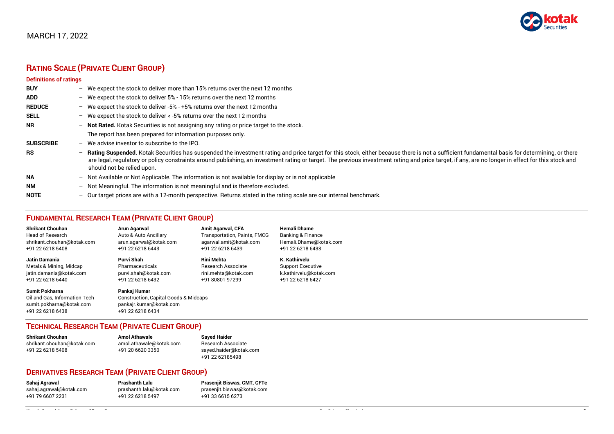# **RATING SCALE (PRIVATE CLIENT GROUP)**

#### **Definitions of ratings**

| <b>BUY</b>       | We expect the stock to deliver more than 15% returns over the next 12 months<br>$\overline{\phantom{0}}$                                                                                                                                                                                                                                                                                                                              |
|------------------|---------------------------------------------------------------------------------------------------------------------------------------------------------------------------------------------------------------------------------------------------------------------------------------------------------------------------------------------------------------------------------------------------------------------------------------|
| <b>ADD</b>       | - We expect the stock to deliver 5% - 15% returns over the next 12 months                                                                                                                                                                                                                                                                                                                                                             |
| <b>REDUCE</b>    | - We expect the stock to deliver -5% - +5% returns over the next 12 months                                                                                                                                                                                                                                                                                                                                                            |
| <b>SELL</b>      | - We expect the stock to deliver < -5% returns over the next 12 months                                                                                                                                                                                                                                                                                                                                                                |
| NR.              | Not Rated. Kotak Securities is not assigning any rating or price target to the stock.<br>—                                                                                                                                                                                                                                                                                                                                            |
|                  | The report has been prepared for information purposes only.                                                                                                                                                                                                                                                                                                                                                                           |
| <b>SUBSCRIBE</b> | $-$ We advise investor to subscribe to the IPO.                                                                                                                                                                                                                                                                                                                                                                                       |
| <b>RS</b>        | Rating Suspended. Kotak Securities has suspended the investment rating and price target for this stock, either because there is not a sufficient fundamental basis for determining, or there<br>-<br>are legal, regulatory or policy constraints around publishing, an investment rating or target. The previous investment rating and price target, if any, are no longer in effect for this stock and<br>should not be relied upon. |
| <b>NA</b>        | Not Available or Not Applicable. The information is not available for display or is not applicable<br>-                                                                                                                                                                                                                                                                                                                               |
| NΜ               | Not Meaningful. The information is not meaningful and is therefore excluded.<br>—                                                                                                                                                                                                                                                                                                                                                     |
| <b>NOTE</b>      | Our target prices are with a 12-month perspective. Returns stated in the rating scale are our internal benchmark.<br>-                                                                                                                                                                                                                                                                                                                |

#### **FUNDAMENTAL RESEARCH TEAM (PRIVATE CLIENT GROUP)**

| <b>Shrikant Chouhan</b>    | Arun Agarwal           | <b>Amit Agarwal, CFA</b>            | <b>Hemali Dhame</b>      |
|----------------------------|------------------------|-------------------------------------|--------------------------|
| <b>Head of Research</b>    | Auto & Auto Ancillary  | <b>Transportation, Paints, FMCG</b> | Banking & Finance        |
| shrikant.chouhan@kotak.com | arun.agarwal@kotak.com | agarwal.amit@kotak.com              | Hemali.Dhame@kotak.com   |
| +91 22 6218 5408           | +91 22 6218 6443       | +91 22 6218 6439                    | +91 22 6218 6433         |
| Jatin Damania              | Purvi Shah             | Rini Mehta                          | K. Kathirvelu            |
| Metals & Mining, Midcap    | Pharmaceuticals        | <b>Research Associate</b>           | <b>Support Executive</b> |
| jatin.damania@kotak.com    | purvi.shah@kotak.com   | rini.mehta@kotak.com                | k.kathirvelu@kotak.com   |
| +91 22 6218 6440           | +91 22 6218 6432       | +91 80801 97299                     | +91 22 6218 6427         |
| Sumit Pokharna             | Pankaj Kumar           |                                     |                          |

sumit.pokharna@kotak.com pankajr.kumar@kotak.com +91 22 6218 6438

Oil and Gas, Information Tech Construction, Capital Goods & Midcaps<br>sumit.pokharna@kotak.com pankajr.kumar@kotak.com

#### **TECHNICAL RESEARCH TEAM (PRIVATE CLIENT GROUP)**

| <b>Shrikant Chouhan</b>    | <b>Amol Athawale</b>    | <b>Sayed Haider</b>    |  |  |
|----------------------------|-------------------------|------------------------|--|--|
| shrikant.chouhan@kotak.com | amol.athawale@kotak.com | Research Associate     |  |  |
| +91 22 6218 5408           | +91 20 6620 3350        | sayed.haider@kotak.com |  |  |
|                            |                         | +91 22 62185498        |  |  |

## **DERIVATIVES RESEARCH TEAM (PRIVATE CLIENT GROUP)**

| Sahaj Agrawal           | <b>Prashanth Lalu</b>    |
|-------------------------|--------------------------|
| sahaj.agrawal@kotak.com | prashanth.lalu@kotak.con |
| +91 79 6607 2231        | +91 22 6218 5497         |

**Sahaj Agrawal Prashanth Lalu Prasenjit Biswas, CMT, CFTe** m [prasenjit.biswas@kotak.com](mailto:prasenjit.biswas@kotak.com) +91 33 6615 6273